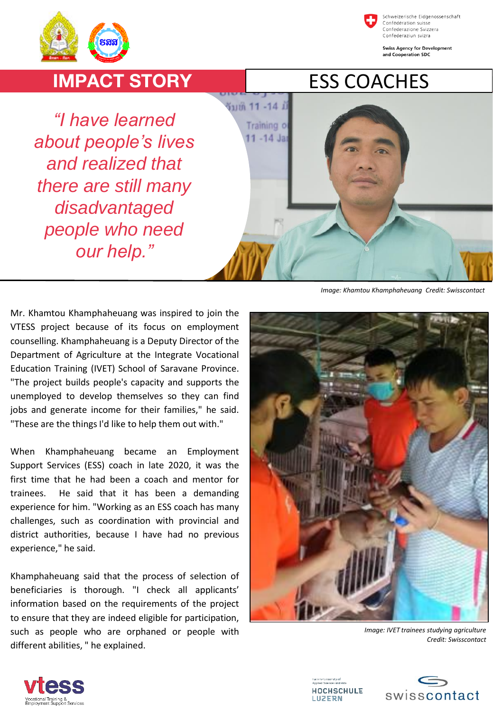



Schweizerische Eidgenossenschaft Confédération suisse Confederazione Svizzera Confederaziun svizra

**Swiss Agency for Development** and Cooperation SDC

## **IMPACT STORY**

*"I have learned about people's lives and realized that there are still many disadvantaged people who need our help."*





*Image: Khamtou Khamphaheuang Credit: Swisscontact*

Mr. Khamtou Khamphaheuang was inspired to join the VTESS project because of its focus on employment counselling. Khamphaheuang is a Deputy Director of the Department of Agriculture at the Integrate Vocational Education Training (IVET) School of Saravane Province. "The project builds people's capacity and supports the unemployed to develop themselves so they can find jobs and generate income for their families," he said. "These are the things I'd like to help them out with."

When Khamphaheuang became an Employment Support Services (ESS) coach in late 2020, it was the first time that he had been a coach and mentor for trainees. He said that it has been a demanding experience for him. "Working as an ESS coach has many challenges, such as coordination with provincial and district authorities, because I have had no previous experience," he said.

Khamphaheuang said that the process of selection of beneficiaries is thorough. "I check all applicants' information based on the requirements of the project to ensure that they are indeed eligible for participation, such as people who are orphaned or people with different abilities, " he explained.



*Image: IVET trainees studying agriculture Credit: Swisscontact*